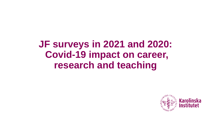# **JF surveys in 2021 and 2020: Covid-19 impact on career, research and teaching**

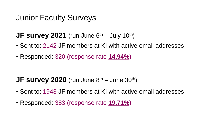### Junior Faculty Surveys

#### **JF survey 2021** (run June  $6<sup>th</sup>$  – July 10<sup>th</sup>)

- Sent to: 2142 JF members at KI with active email addresses
- Responded: 320 (response rate **14.94%**)

#### **JF survey 2020** (run June  $8<sup>th</sup>$  – June  $30<sup>th</sup>$ )

- Sent to: 1943 JF members at KI with active email addresses
- Responded: 383 (response rate **19.71%**)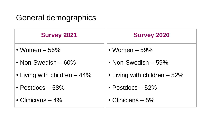# General demographics

| <b>Survey 2021</b>           | <b>Survey 2020</b>           |
|------------------------------|------------------------------|
| • Women $-56\%$              | • Women $-59\%$              |
| • Non-Swedish $-60\%$        | • Non-Swedish $-59\%$        |
| • Living with children – 44% | • Living with children - 52% |
| • Postdocs $-58%$            | • Postdocs $-52\%$           |
| • Clinicians $-4\%$          | • Clinicians $-5%$           |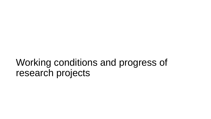# Working conditions and progress of research projects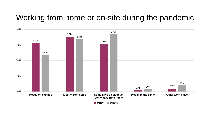### Working from home or on-site during the pandemic



**2021 2020**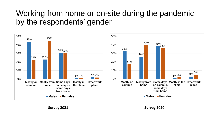## Working from home or on-site during the pandemic by the respondents' gender

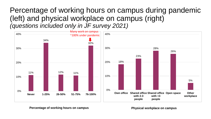#### Percentage of working hours on campus during pandemic (left) and physical workplace on campus (right) *(questions included only in JF survey 2021)*



Percentage of working hours on campus **Physical workplace on campus**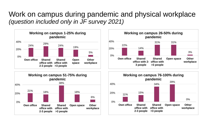#### Work on campus during pandemic and physical workplace *(question included only in JF survey 2021)*







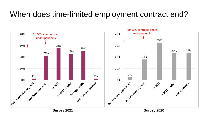# When does time-limited employment contract end?

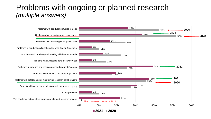### Problems with ongoing or planned research *(multiple answers)*

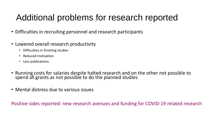# Additional problems for research reported

- Difficulties in recruiting personnel and research participants
- Lowered overall research productivity
	- Difficulties in finishing studies
	- Reduced motivation
	- Less publications
- Running costs for salaries despite halted research and on the other not possible to spend all grants as not possible to do the planned studies
- Mental distress due to various issues

Positive sides reported: new research avenues and funding for COVID-19 related research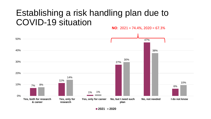#### Establishing a risk handling plan due to COVID-19 situation **NO**: 2021 = 74.4%, 2020 = 67.3%

7% 11% 1% 27% 47% 6% 8% 14% 1% 30% 38% 10% 0% 10% 20% 30% 40% 50% **Yes, both for research & career Yes, only for research Yes, only for career No, but I need such plan No, not needed I do not know**

**2021 2020**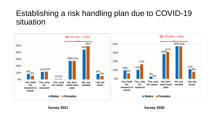## Establishing a risk handling plan due to COVID-19 situation

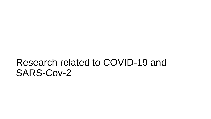# Research related to COVID-19 and SARS-Cov-2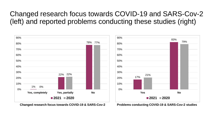### Changed research focus towards COVID-19 and SARS-Cov-2 (left) and reported problems conducting these studies (right)



**Changed research focus towards COVID-19 & SARS-Cov-2 Problems conducting COVID-19 & SARS-Cov-2 studies**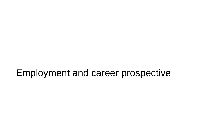# Employment and career prospective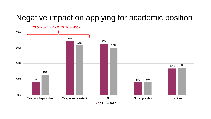## Negative impact on applying for academic position

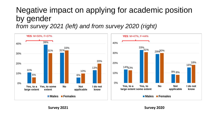#### Negative impact on applying for academic position by gender *from survey 2021 (left) and from survey 2020 (right)*



**Survey 2021 Survey 2020**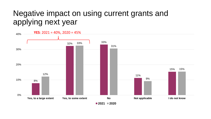### Negative impact on using current grants and applying next year

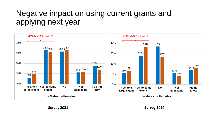# Negative impact on using current grants and applying next year



**Survey 2021 Survey 2020**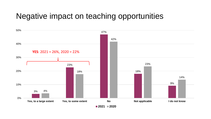### Negative impact on teaching opportunities

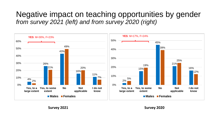### Negative impact on teaching opportunities by gender *from survey 2021 (left) and from survey 2020 (right)*



**Survey 2021 Survey 2020**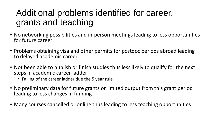# Additional problems identified for career, grants and teaching

- No networking possibilities and in-person meetings leading to less opportunities for future career
- Problems obtaining visa and other permits for postdoc periods abroad leading to delayed academic career
- Not been able to publish or finish studies thus less likely to qualify for the next steps in academic career ladder
	- Falling of the career ladder due the 5 year rule
- No preliminary data for future grants or limited output from this grant period leading to less changes in funding
- Many courses cancelled or online thus leading to less teaching opportunities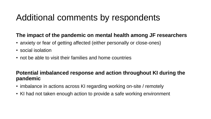# Additional comments by respondents

#### **The impact of the pandemic on mental health among JF researchers**

- anxiety or fear of getting affected (either personally or close-ones)
- social isolation
- not be able to visit their families and home countries

#### **Potential imbalanced response and action throughout KI during the pandemic**

- imbalance in actions across KI regarding working on-site / remotely
- KI had not taken enough action to provide a safe working environment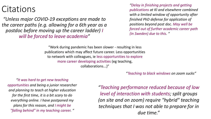# **Citations**

*"Unless major COVID-19 exceptions are made to the career paths (e.g. allowing for a 6th year as a postdoc before moving up the career ladder) I will be forced to leave academia"*

*"Delay in finishing projects and getting publications at KI and elsewhere combined with a limited window of opportunity after finished PhD defense for application of positions beyond post doc. May well be forced out of further academic career path (in Sweden) due to this. "*

"Work during pandemic has been slower - resulting in less publications which may affect future career. Less opportunities to network with colleagues, ie less opportunities to explore more career developing activities (eg teaching, collaborations...)"

*"Teaching to black windows on zoom sucks"*

*"It was hard to get new teaching opportunities and being a junior researcher and planning to teach at higher education for the first time, it is a bit scary to do everything online. I have postponed my plans for this reason, and I might be "falling behind" in my teaching career. "*

*"Teaching performance reduced because of low level of interaction with students; split groups (on site and on zoom) require "hybrid" teaching techniques that I was not able to prepare for in due time."*